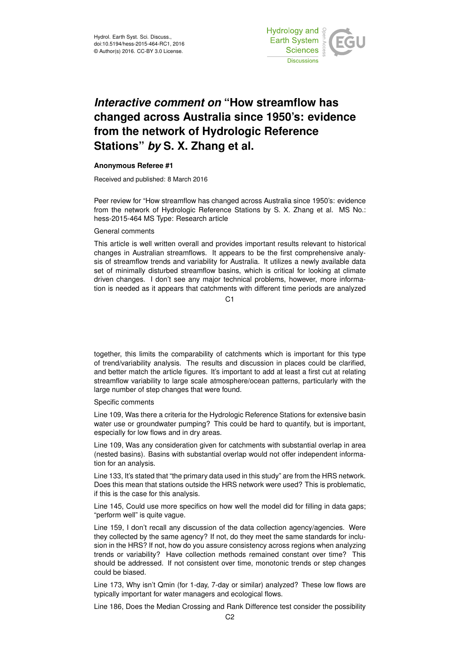

# *Interactive comment on* **"How streamflow has changed across Australia since 1950's: evidence from the network of Hydrologic Reference Stations"** *by* **S. X. Zhang et al.**

# **Anonymous Referee #1**

Received and published: 8 March 2016

Peer review for "How streamflow has changed across Australia since 1950's: evidence from the network of Hydrologic Reference Stations by S. X. Zhang et al. MS No.: hess-2015-464 MS Type: Research article

## General comments

This article is well written overall and provides important results relevant to historical changes in Australian streamflows. It appears to be the first comprehensive analysis of streamflow trends and variability for Australia. It utilizes a newly available data set of minimally disturbed streamflow basins, which is critical for looking at climate driven changes. I don't see any major technical problems, however, more information is needed as it appears that catchments with different time periods are analyzed

C1

together, this limits the comparability of catchments which is important for this type of trend/variability analysis. The results and discussion in places could be clarified, and better match the article figures. It's important to add at least a first cut at relating streamflow variability to large scale atmosphere/ocean patterns, particularly with the large number of step changes that were found.

### Specific comments

Line 109, Was there a criteria for the Hydrologic Reference Stations for extensive basin water use or groundwater pumping? This could be hard to quantify, but is important, especially for low flows and in dry areas.

Line 109, Was any consideration given for catchments with substantial overlap in area (nested basins). Basins with substantial overlap would not offer independent information for an analysis.

Line 133, It's stated that "the primary data used in this study" are from the HRS network. Does this mean that stations outside the HRS network were used? This is problematic, if this is the case for this analysis.

Line 145, Could use more specifics on how well the model did for filling in data gaps; "perform well" is quite vague.

Line 159, I don't recall any discussion of the data collection agency/agencies. Were they collected by the same agency? If not, do they meet the same standards for inclusion in the HRS? If not, how do you assure consistency across regions when analyzing trends or variability? Have collection methods remained constant over time? This should be addressed. If not consistent over time, monotonic trends or step changes could be biased.

Line 173, Why isn't Qmin (for 1-day, 7-day or similar) analyzed? These low flows are typically important for water managers and ecological flows.

Line 186, Does the Median Crossing and Rank Difference test consider the possibility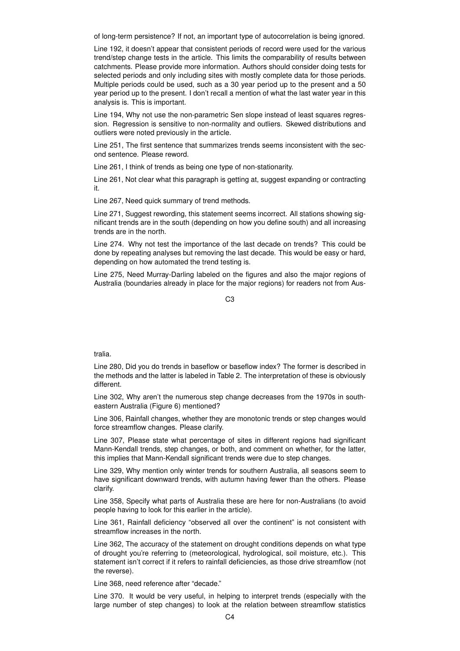of long-term persistence? If not, an important type of autocorrelation is being ignored.

Line 192, it doesn't appear that consistent periods of record were used for the various trend/step change tests in the article. This limits the comparability of results between catchments. Please provide more information. Authors should consider doing tests for selected periods and only including sites with mostly complete data for those periods. Multiple periods could be used, such as a 30 year period up to the present and a 50 year period up to the present. I don't recall a mention of what the last water year in this analysis is. This is important.

Line 194, Why not use the non-parametric Sen slope instead of least squares regression. Regression is sensitive to non-normality and outliers. Skewed distributions and outliers were noted previously in the article.

Line 251, The first sentence that summarizes trends seems inconsistent with the second sentence. Please reword.

Line 261, I think of trends as being one type of non-stationarity.

Line 261, Not clear what this paragraph is getting at, suggest expanding or contracting it.

Line 267, Need quick summary of trend methods.

Line 271, Suggest rewording, this statement seems incorrect. All stations showing significant trends are in the south (depending on how you define south) and all increasing trends are in the north.

Line 274. Why not test the importance of the last decade on trends? This could be done by repeating analyses but removing the last decade. This would be easy or hard, depending on how automated the trend testing is.

Line 275, Need Murray-Darling labeled on the figures and also the major regions of Australia (boundaries already in place for the major regions) for readers not from Aus-

 $C<sub>3</sub>$ 

### tralia.

Line 280, Did you do trends in baseflow or baseflow index? The former is described in the methods and the latter is labeled in Table 2. The interpretation of these is obviously different.

Line 302, Why aren't the numerous step change decreases from the 1970s in southeastern Australia (Figure 6) mentioned?

Line 306, Rainfall changes, whether they are monotonic trends or step changes would force streamflow changes. Please clarify.

Line 307, Please state what percentage of sites in different regions had significant Mann-Kendall trends, step changes, or both, and comment on whether, for the latter, this implies that Mann-Kendall significant trends were due to step changes.

Line 329, Why mention only winter trends for southern Australia, all seasons seem to have significant downward trends, with autumn having fewer than the others. Please clarify.

Line 358, Specify what parts of Australia these are here for non-Australians (to avoid people having to look for this earlier in the article).

Line 361, Rainfall deficiency "observed all over the continent" is not consistent with streamflow increases in the north.

Line 362, The accuracy of the statement on drought conditions depends on what type of drought you're referring to (meteorological, hydrological, soil moisture, etc.). This statement isn't correct if it refers to rainfall deficiencies, as those drive streamflow (not the reverse).

Line 368, need reference after "decade."

Line 370. It would be very useful, in helping to interpret trends (especially with the large number of step changes) to look at the relation between streamflow statistics